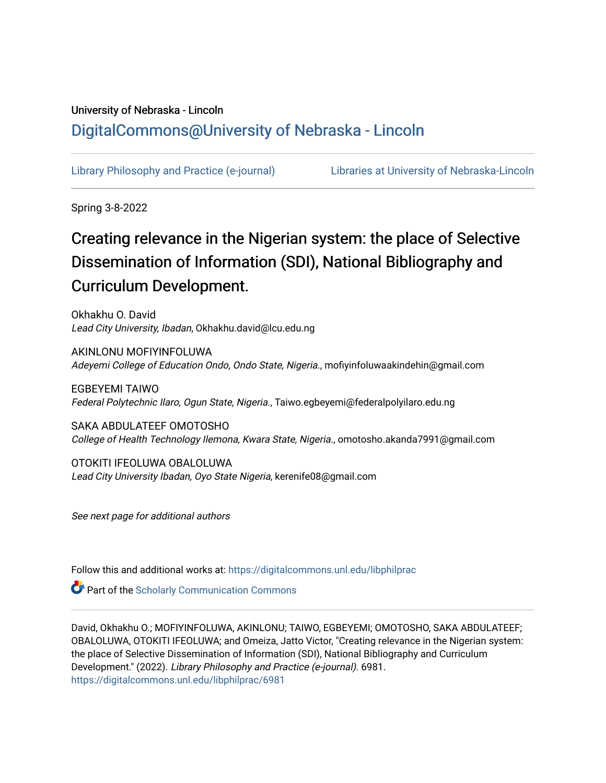### University of Nebraska - Lincoln [DigitalCommons@University of Nebraska - Lincoln](https://digitalcommons.unl.edu/)

[Library Philosophy and Practice \(e-journal\)](https://digitalcommons.unl.edu/libphilprac) [Libraries at University of Nebraska-Lincoln](https://digitalcommons.unl.edu/libraries) 

Spring 3-8-2022

# Creating relevance in the Nigerian system: the place of Selective Dissemination of Information (SDI), National Bibliography and Curriculum Development.

Okhakhu O. David Lead City University, Ibadan, Okhakhu.david@lcu.edu.ng

AKINLONU MOFIYINFOLUWA Adeyemi College of Education Ondo, Ondo State, Nigeria., mofiyinfoluwaakindehin@gmail.com

EGBEYEMI TAIWO Federal Polytechnic Ilaro, Ogun State, Nigeria., Taiwo.egbeyemi@federalpolyilaro.edu.ng

SAKA ABDULATEEF OMOTOSHO College of Health Technology Ilemona, Kwara State, Nigeria., omotosho.akanda7991@gmail.com

OTOKITI IFEOLUWA OBALOLUWA Lead City University Ibadan, Oyo State Nigeria, kerenife08@gmail.com

See next page for additional authors

Follow this and additional works at: [https://digitalcommons.unl.edu/libphilprac](https://digitalcommons.unl.edu/libphilprac?utm_source=digitalcommons.unl.edu%2Flibphilprac%2F6981&utm_medium=PDF&utm_campaign=PDFCoverPages) 

**Part of the Scholarly Communication Commons** 

David, Okhakhu O.; MOFIYINFOLUWA, AKINLONU; TAIWO, EGBEYEMI; OMOTOSHO, SAKA ABDULATEEF; OBALOLUWA, OTOKITI IFEOLUWA; and Omeiza, Jatto Victor, "Creating relevance in the Nigerian system: the place of Selective Dissemination of Information (SDI), National Bibliography and Curriculum Development." (2022). Library Philosophy and Practice (e-journal). 6981. [https://digitalcommons.unl.edu/libphilprac/6981](https://digitalcommons.unl.edu/libphilprac/6981?utm_source=digitalcommons.unl.edu%2Flibphilprac%2F6981&utm_medium=PDF&utm_campaign=PDFCoverPages)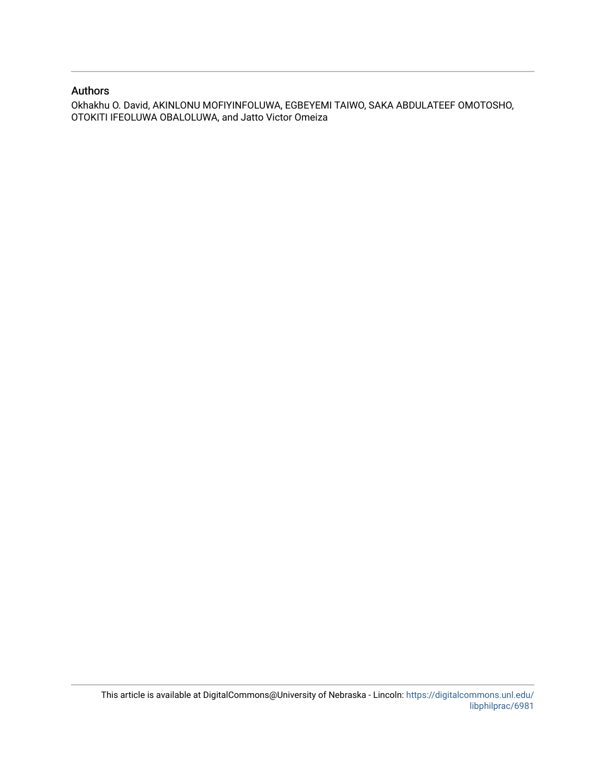### Authors

Okhakhu O. David, AKINLONU MOFIYINFOLUWA, EGBEYEMI TAIWO, SAKA ABDULATEEF OMOTOSHO, OTOKITI IFEOLUWA OBALOLUWA, and Jatto Victor Omeiza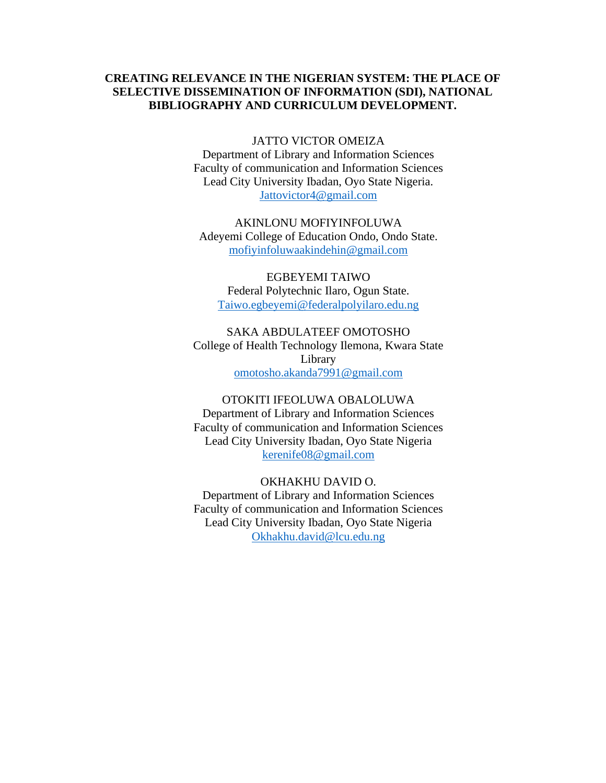### **CREATING RELEVANCE IN THE NIGERIAN SYSTEM: THE PLACE OF SELECTIVE DISSEMINATION OF INFORMATION (SDI), NATIONAL BIBLIOGRAPHY AND CURRICULUM DEVELOPMENT.**

JATTO VICTOR OMEIZA

Department of Library and Information Sciences Faculty of communication and Information Sciences Lead City University Ibadan, Oyo State Nigeria. [Jattovictor4@gmail.com](mailto:Jattovictor4@gmail.com)

AKINLONU MOFIYINFOLUWA Adeyemi College of Education Ondo, Ondo State. [mofiyinfoluwaakindehin@gmail.com](mailto:mofiyinfoluwaakindehin@gmail.com)

EGBEYEMI TAIWO Federal Polytechnic Ilaro, Ogun State. [Taiwo.egbeyemi@federalpolyilaro.edu.ng](mailto:Taiwo.egbeyemi@federalpolyilaro.edu.ng)

SAKA ABDULATEEF OMOTOSHO College of Health Technology Ilemona, Kwara State Library [omotosho.akanda7991@gmail.com](mailto:omotosho.akanda7991@gmail.com)

OTOKITI IFEOLUWA OBALOLUWA Department of Library and Information Sciences Faculty of communication and Information Sciences Lead City University Ibadan, Oyo State Nigeria [kerenife08@gmail.com](mailto:kerenife08@gmail.com)

OKHAKHU DAVID O.

Department of Library and Information Sciences Faculty of communication and Information Sciences Lead City University Ibadan, Oyo State Nigeria [Okhakhu.david@lcu.edu.ng](mailto:Okhakhu.david@lcu.edu.ng)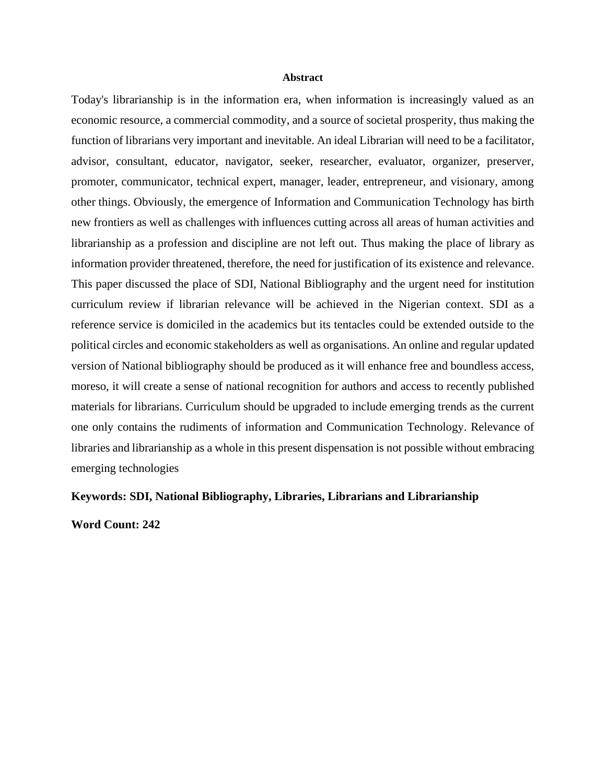#### **Abstract**

Today's librarianship is in the information era, when information is increasingly valued as an economic resource, a commercial commodity, and a source of societal prosperity, thus making the function of librarians very important and inevitable. An ideal Librarian will need to be a facilitator, advisor, consultant, educator, navigator, seeker, researcher, evaluator, organizer, preserver, promoter, communicator, technical expert, manager, leader, entrepreneur, and visionary, among other things. Obviously, the emergence of Information and Communication Technology has birth new frontiers as well as challenges with influences cutting across all areas of human activities and librarianship as a profession and discipline are not left out. Thus making the place of library as information provider threatened, therefore, the need for justification of its existence and relevance. This paper discussed the place of SDI, National Bibliography and the urgent need for institution curriculum review if librarian relevance will be achieved in the Nigerian context. SDI as a reference service is domiciled in the academics but its tentacles could be extended outside to the political circles and economic stakeholders as well as organisations. An online and regular updated version of National bibliography should be produced as it will enhance free and boundless access, moreso, it will create a sense of national recognition for authors and access to recently published materials for librarians. Curriculum should be upgraded to include emerging trends as the current one only contains the rudiments of information and Communication Technology. Relevance of libraries and librarianship as a whole in this present dispensation is not possible without embracing emerging technologies

### **Keywords: SDI, National Bibliography, Libraries, Librarians and Librarianship**

**Word Count: 242**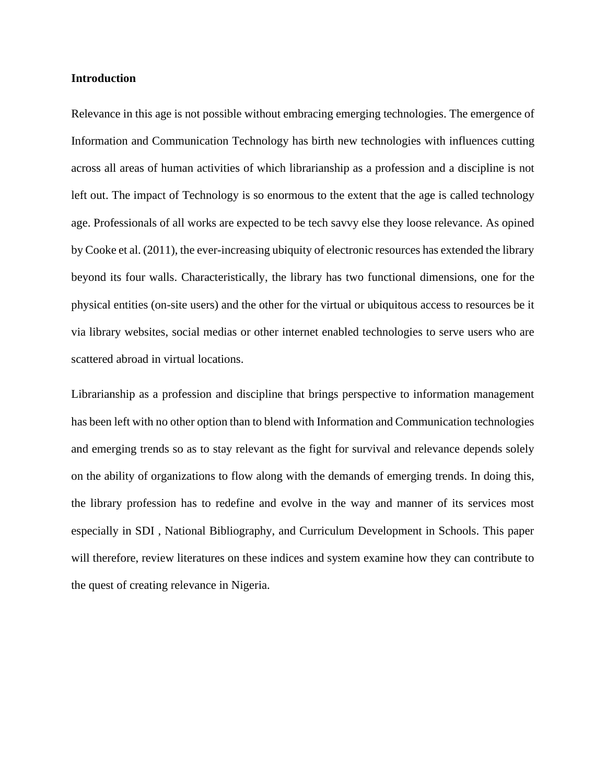### **Introduction**

Relevance in this age is not possible without embracing emerging technologies. The emergence of Information and Communication Technology has birth new technologies with influences cutting across all areas of human activities of which librarianship as a profession and a discipline is not left out. The impact of Technology is so enormous to the extent that the age is called technology age. Professionals of all works are expected to be tech savvy else they loose relevance. As opined by Cooke et al. (2011), the ever-increasing ubiquity of electronic resources has extended the library beyond its four walls. Characteristically, the library has two functional dimensions, one for the physical entities (on-site users) and the other for the virtual or ubiquitous access to resources be it via library websites, social medias or other internet enabled technologies to serve users who are scattered abroad in virtual locations.

Librarianship as a profession and discipline that brings perspective to information management has been left with no other option than to blend with Information and Communication technologies and emerging trends so as to stay relevant as the fight for survival and relevance depends solely on the ability of organizations to flow along with the demands of emerging trends. In doing this, the library profession has to redefine and evolve in the way and manner of its services most especially in SDI , National Bibliography, and Curriculum Development in Schools. This paper will therefore, review literatures on these indices and system examine how they can contribute to the quest of creating relevance in Nigeria.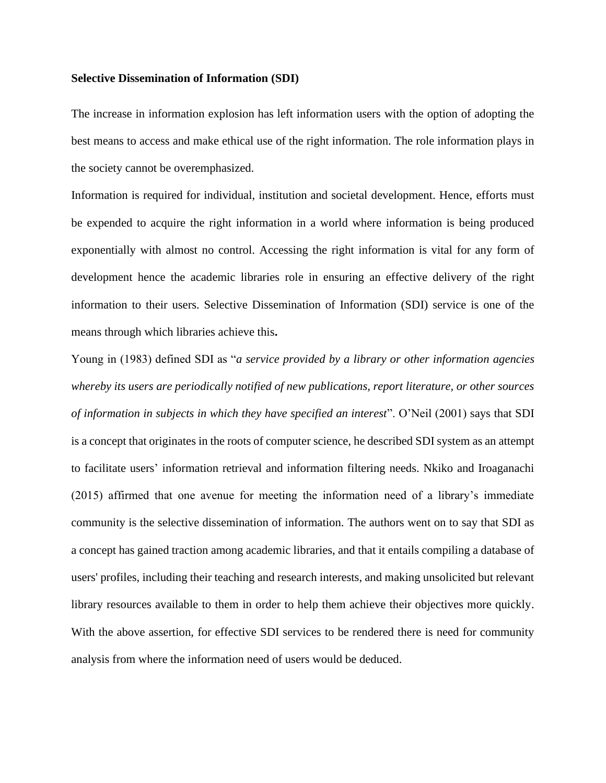### **Selective Dissemination of Information (SDI)**

The increase in information explosion has left information users with the option of adopting the best means to access and make ethical use of the right information. The role information plays in the society cannot be overemphasized.

Information is required for individual, institution and societal development. Hence, efforts must be expended to acquire the right information in a world where information is being produced exponentially with almost no control. Accessing the right information is vital for any form of development hence the academic libraries role in ensuring an effective delivery of the right information to their users. Selective Dissemination of Information (SDI) service is one of the means through which libraries achieve this**.**

Young in (1983) defined SDI as "*a service provided by a library or other information agencies whereby its users are periodically notified of new publications, report literature, or other sources of information in subjects in which they have specified an interest*". O'Neil (2001) says that SDI is a concept that originates in the roots of computer science, he described SDI system as an attempt to facilitate users' information retrieval and information filtering needs. Nkiko and Iroaganachi (2015) affirmed that one avenue for meeting the information need of a library's immediate community is the selective dissemination of information. The authors went on to say that SDI as a concept has gained traction among academic libraries, and that it entails compiling a database of users' profiles, including their teaching and research interests, and making unsolicited but relevant library resources available to them in order to help them achieve their objectives more quickly. With the above assertion, for effective SDI services to be rendered there is need for community analysis from where the information need of users would be deduced.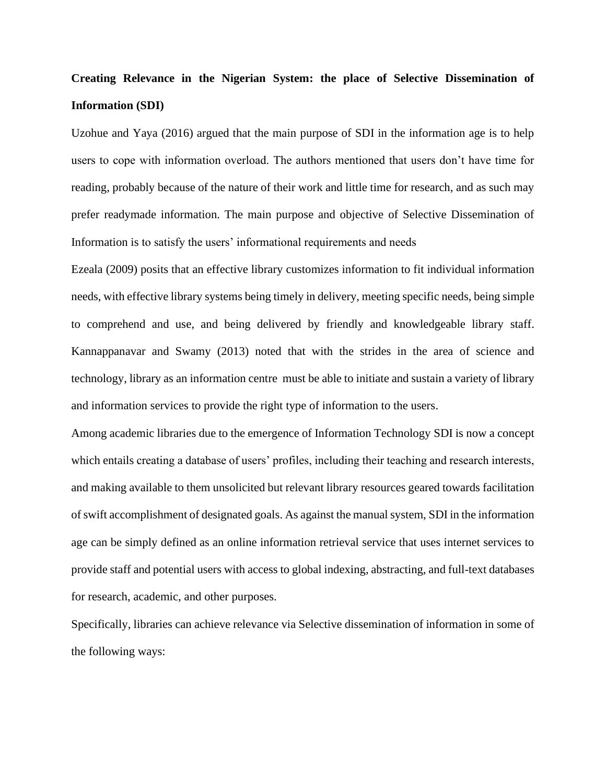## **Creating Relevance in the Nigerian System: the place of Selective Dissemination of Information (SDI)**

Uzohue and Yaya (2016) argued that the main purpose of SDI in the information age is to help users to cope with information overload. The authors mentioned that users don't have time for reading, probably because of the nature of their work and little time for research, and as such may prefer readymade information. The main purpose and objective of Selective Dissemination of Information is to satisfy the users' informational requirements and needs

Ezeala (2009) posits that an effective library customizes information to fit individual information needs, with effective library systems being timely in delivery, meeting specific needs, being simple to comprehend and use, and being delivered by friendly and knowledgeable library staff. Kannappanavar and Swamy (2013) noted that with the strides in the area of science and technology, library as an information centre must be able to initiate and sustain a variety of library and information services to provide the right type of information to the users.

Among academic libraries due to the emergence of Information Technology SDI is now a concept which entails creating a database of users' profiles, including their teaching and research interests, and making available to them unsolicited but relevant library resources geared towards facilitation of swift accomplishment of designated goals. As against the manual system, SDI in the information age can be simply defined as an online information retrieval service that uses internet services to provide staff and potential users with access to global indexing, abstracting, and full-text databases for research, academic, and other purposes.

Specifically, libraries can achieve relevance via Selective dissemination of information in some of the following ways: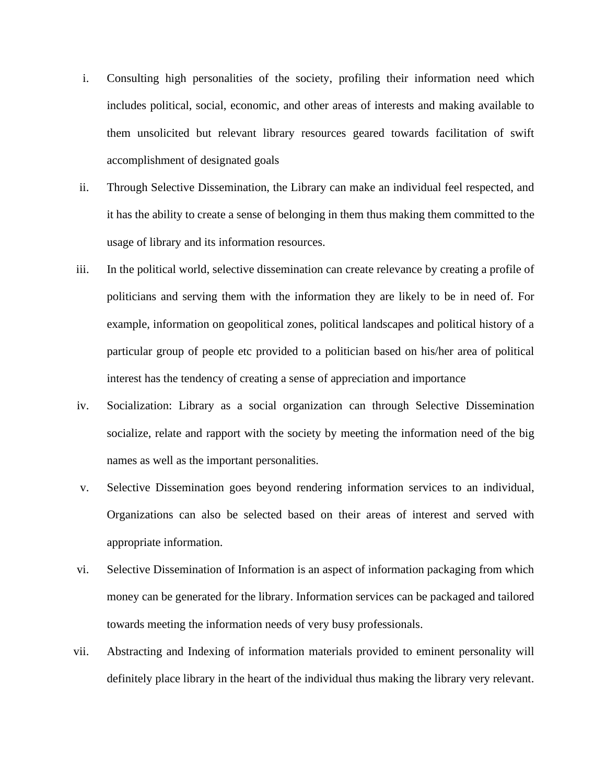- i. Consulting high personalities of the society, profiling their information need which includes political, social, economic, and other areas of interests and making available to them unsolicited but relevant library resources geared towards facilitation of swift accomplishment of designated goals
- ii. Through Selective Dissemination, the Library can make an individual feel respected, and it has the ability to create a sense of belonging in them thus making them committed to the usage of library and its information resources.
- iii. In the political world, selective dissemination can create relevance by creating a profile of politicians and serving them with the information they are likely to be in need of. For example, information on geopolitical zones, political landscapes and political history of a particular group of people etc provided to a politician based on his/her area of political interest has the tendency of creating a sense of appreciation and importance
- iv. Socialization: Library as a social organization can through Selective Dissemination socialize, relate and rapport with the society by meeting the information need of the big names as well as the important personalities.
- v. Selective Dissemination goes beyond rendering information services to an individual, Organizations can also be selected based on their areas of interest and served with appropriate information.
- vi. Selective Dissemination of Information is an aspect of information packaging from which money can be generated for the library. Information services can be packaged and tailored towards meeting the information needs of very busy professionals.
- vii. Abstracting and Indexing of information materials provided to eminent personality will definitely place library in the heart of the individual thus making the library very relevant.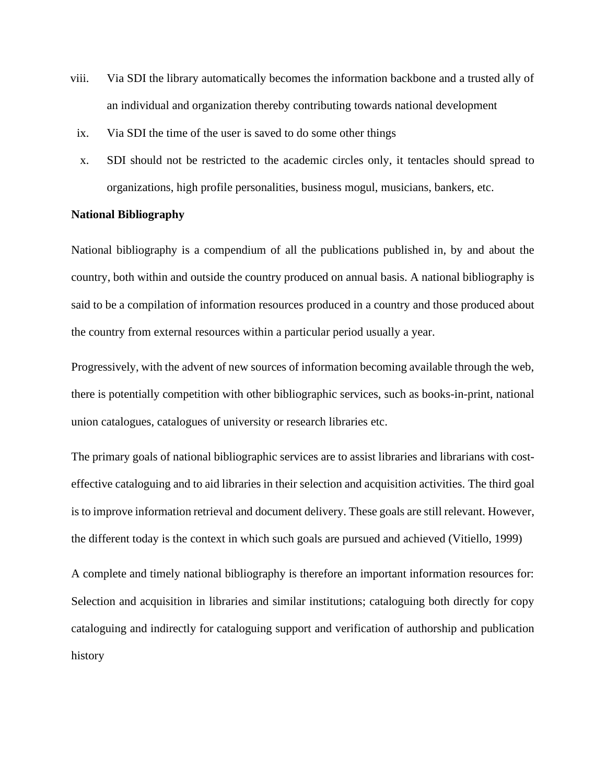- viii. Via SDI the library automatically becomes the information backbone and a trusted ally of an individual and organization thereby contributing towards national development
- ix. Via SDI the time of the user is saved to do some other things
- x. SDI should not be restricted to the academic circles only, it tentacles should spread to organizations, high profile personalities, business mogul, musicians, bankers, etc.

### **National Bibliography**

National bibliography is a compendium of all the publications published in, by and about the country, both within and outside the country produced on annual basis. A national bibliography is said to be a compilation of information resources produced in a country and those produced about the country from external resources within a particular period usually a year.

Progressively, with the advent of new sources of information becoming available through the web, there is potentially competition with other bibliographic services, such as books-in-print, national union catalogues, catalogues of university or research libraries etc.

The primary goals of national bibliographic services are to assist libraries and librarians with costeffective cataloguing and to aid libraries in their selection and acquisition activities. The third goal is to improve information retrieval and document delivery. These goals are still relevant. However, the different today is the context in which such goals are pursued and achieved (Vitiello, 1999)

A complete and timely national bibliography is therefore an important information resources for: Selection and acquisition in libraries and similar institutions; cataloguing both directly for copy cataloguing and indirectly for cataloguing support and verification of authorship and publication history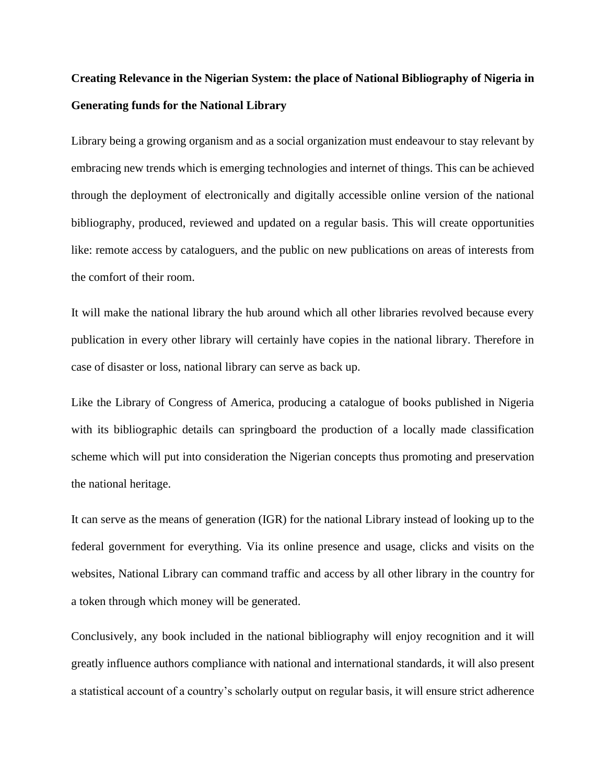## **Creating Relevance in the Nigerian System: the place of National Bibliography of Nigeria in Generating funds for the National Library**

Library being a growing organism and as a social organization must endeavour to stay relevant by embracing new trends which is emerging technologies and internet of things. This can be achieved through the deployment of electronically and digitally accessible online version of the national bibliography, produced, reviewed and updated on a regular basis. This will create opportunities like: remote access by cataloguers, and the public on new publications on areas of interests from the comfort of their room.

It will make the national library the hub around which all other libraries revolved because every publication in every other library will certainly have copies in the national library. Therefore in case of disaster or loss, national library can serve as back up.

Like the Library of Congress of America, producing a catalogue of books published in Nigeria with its bibliographic details can springboard the production of a locally made classification scheme which will put into consideration the Nigerian concepts thus promoting and preservation the national heritage.

It can serve as the means of generation (IGR) for the national Library instead of looking up to the federal government for everything. Via its online presence and usage, clicks and visits on the websites, National Library can command traffic and access by all other library in the country for a token through which money will be generated.

Conclusively, any book included in the national bibliography will enjoy recognition and it will greatly influence authors compliance with national and international standards, it will also present a statistical account of a country's scholarly output on regular basis, it will ensure strict adherence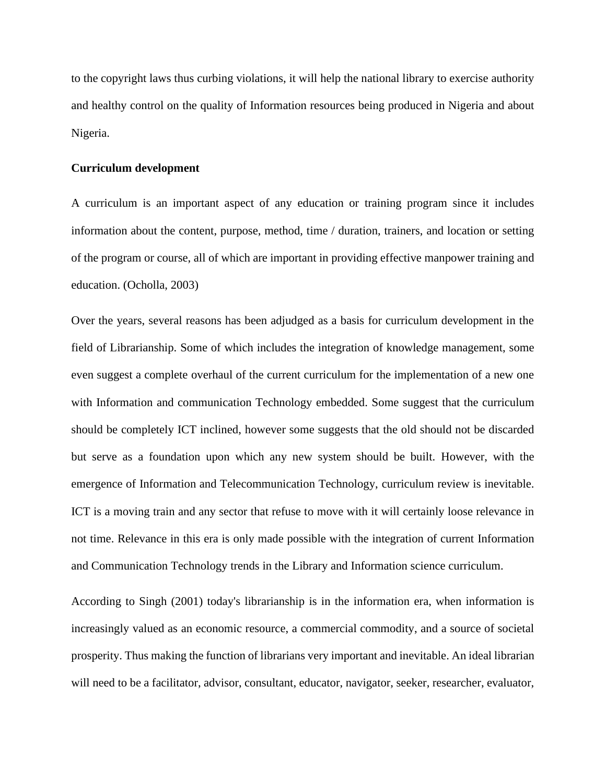to the copyright laws thus curbing violations, it will help the national library to exercise authority and healthy control on the quality of Information resources being produced in Nigeria and about Nigeria.

### **Curriculum development**

A curriculum is an important aspect of any education or training program since it includes information about the content, purpose, method, time / duration, trainers, and location or setting of the program or course, all of which are important in providing effective manpower training and education. (Ocholla, 2003)

Over the years, several reasons has been adjudged as a basis for curriculum development in the field of Librarianship. Some of which includes the integration of knowledge management, some even suggest a complete overhaul of the current curriculum for the implementation of a new one with Information and communication Technology embedded. Some suggest that the curriculum should be completely ICT inclined, however some suggests that the old should not be discarded but serve as a foundation upon which any new system should be built. However, with the emergence of Information and Telecommunication Technology, curriculum review is inevitable. ICT is a moving train and any sector that refuse to move with it will certainly loose relevance in not time. Relevance in this era is only made possible with the integration of current Information and Communication Technology trends in the Library and Information science curriculum.

According to Singh (2001) today's librarianship is in the information era, when information is increasingly valued as an economic resource, a commercial commodity, and a source of societal prosperity. Thus making the function of librarians very important and inevitable. An ideal librarian will need to be a facilitator, advisor, consultant, educator, navigator, seeker, researcher, evaluator,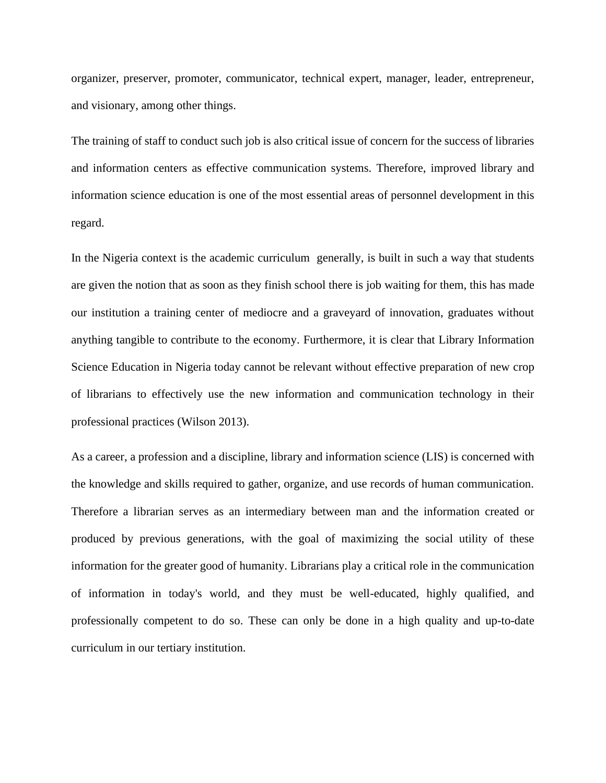organizer, preserver, promoter, communicator, technical expert, manager, leader, entrepreneur, and visionary, among other things.

The training of staff to conduct such job is also critical issue of concern for the success of libraries and information centers as effective communication systems. Therefore, improved library and information science education is one of the most essential areas of personnel development in this regard.

In the Nigeria context is the academic curriculum generally, is built in such a way that students are given the notion that as soon as they finish school there is job waiting for them, this has made our institution a training center of mediocre and a graveyard of innovation, graduates without anything tangible to contribute to the economy. Furthermore, it is clear that Library Information Science Education in Nigeria today cannot be relevant without effective preparation of new crop of librarians to effectively use the new information and communication technology in their professional practices (Wilson 2013).

As a career, a profession and a discipline, library and information science (LIS) is concerned with the knowledge and skills required to gather, organize, and use records of human communication. Therefore a librarian serves as an intermediary between man and the information created or produced by previous generations, with the goal of maximizing the social utility of these information for the greater good of humanity. Librarians play a critical role in the communication of information in today's world, and they must be well-educated, highly qualified, and professionally competent to do so. These can only be done in a high quality and up-to-date curriculum in our tertiary institution.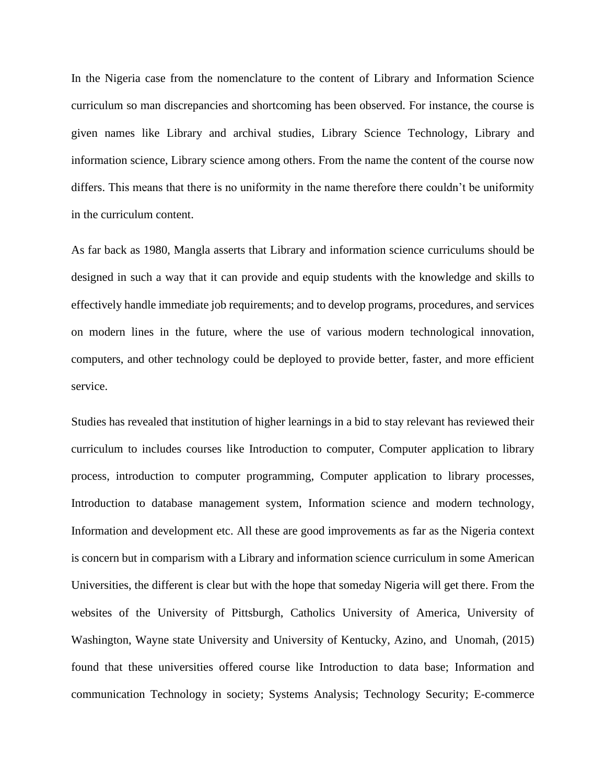In the Nigeria case from the nomenclature to the content of Library and Information Science curriculum so man discrepancies and shortcoming has been observed. For instance, the course is given names like Library and archival studies, Library Science Technology, Library and information science, Library science among others. From the name the content of the course now differs. This means that there is no uniformity in the name therefore there couldn't be uniformity in the curriculum content.

As far back as 1980, Mangla asserts that Library and information science curriculums should be designed in such a way that it can provide and equip students with the knowledge and skills to effectively handle immediate job requirements; and to develop programs, procedures, and services on modern lines in the future, where the use of various modern technological innovation, computers, and other technology could be deployed to provide better, faster, and more efficient service.

Studies has revealed that institution of higher learnings in a bid to stay relevant has reviewed their curriculum to includes courses like Introduction to computer, Computer application to library process, introduction to computer programming, Computer application to library processes, Introduction to database management system, Information science and modern technology, Information and development etc. All these are good improvements as far as the Nigeria context is concern but in comparism with a Library and information science curriculum in some American Universities, the different is clear but with the hope that someday Nigeria will get there. From the websites of the University of Pittsburgh, Catholics University of America, University of Washington, Wayne state University and University of Kentucky, Azino, and Unomah, (2015) found that these universities offered course like Introduction to data base; Information and communication Technology in society; Systems Analysis; Technology Security; E-commerce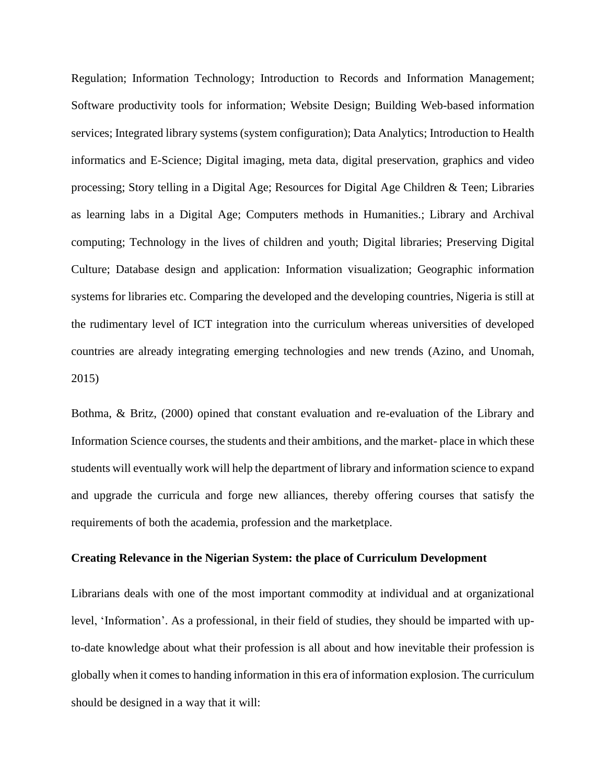Regulation; Information Technology; Introduction to Records and Information Management; Software productivity tools for information; Website Design; Building Web-based information services; Integrated library systems (system configuration); Data Analytics; Introduction to Health informatics and E-Science; Digital imaging, meta data, digital preservation, graphics and video processing; Story telling in a Digital Age; Resources for Digital Age Children & Teen; Libraries as learning labs in a Digital Age; Computers methods in Humanities.; Library and Archival computing; Technology in the lives of children and youth; Digital libraries; Preserving Digital Culture; Database design and application: Information visualization; Geographic information systems for libraries etc. Comparing the developed and the developing countries, Nigeria is still at the rudimentary level of ICT integration into the curriculum whereas universities of developed countries are already integrating emerging technologies and new trends (Azino, and Unomah, 2015)

Bothma, & Britz, (2000) opined that constant evaluation and re-evaluation of the Library and Information Science courses, the students and their ambitions, and the market- place in which these students will eventually work will help the department of library and information science to expand and upgrade the curricula and forge new alliances, thereby offering courses that satisfy the requirements of both the academia, profession and the marketplace.

### **Creating Relevance in the Nigerian System: the place of Curriculum Development**

Librarians deals with one of the most important commodity at individual and at organizational level, 'Information'. As a professional, in their field of studies, they should be imparted with upto-date knowledge about what their profession is all about and how inevitable their profession is globally when it comes to handing information in this era of information explosion. The curriculum should be designed in a way that it will: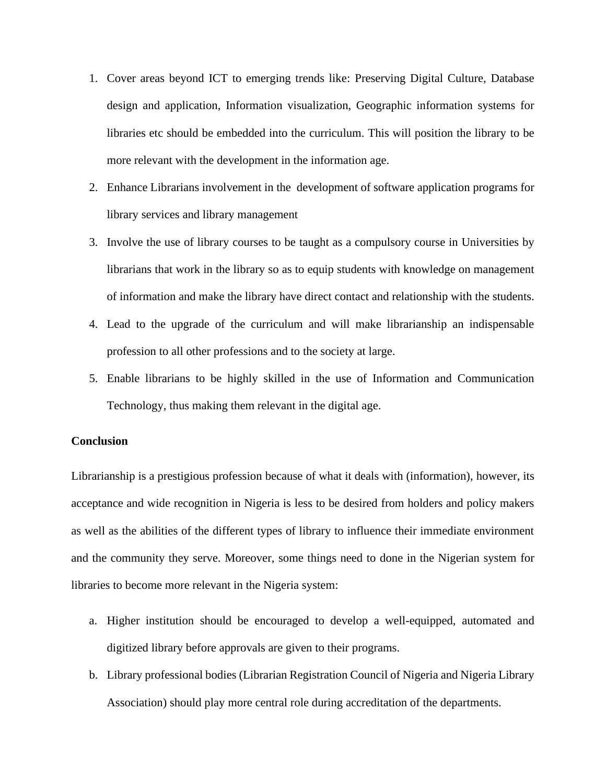- 1. Cover areas beyond ICT to emerging trends like: Preserving Digital Culture, Database design and application, Information visualization, Geographic information systems for libraries etc should be embedded into the curriculum. This will position the library to be more relevant with the development in the information age.
- 2. Enhance Librarians involvement in the development of software application programs for library services and library management
- 3. Involve the use of library courses to be taught as a compulsory course in Universities by librarians that work in the library so as to equip students with knowledge on management of information and make the library have direct contact and relationship with the students.
- 4. Lead to the upgrade of the curriculum and will make librarianship an indispensable profession to all other professions and to the society at large.
- 5. Enable librarians to be highly skilled in the use of Information and Communication Technology, thus making them relevant in the digital age.

### **Conclusion**

Librarianship is a prestigious profession because of what it deals with (information), however, its acceptance and wide recognition in Nigeria is less to be desired from holders and policy makers as well as the abilities of the different types of library to influence their immediate environment and the community they serve. Moreover, some things need to done in the Nigerian system for libraries to become more relevant in the Nigeria system:

- a. Higher institution should be encouraged to develop a well-equipped, automated and digitized library before approvals are given to their programs.
- b. Library professional bodies (Librarian Registration Council of Nigeria and Nigeria Library Association) should play more central role during accreditation of the departments.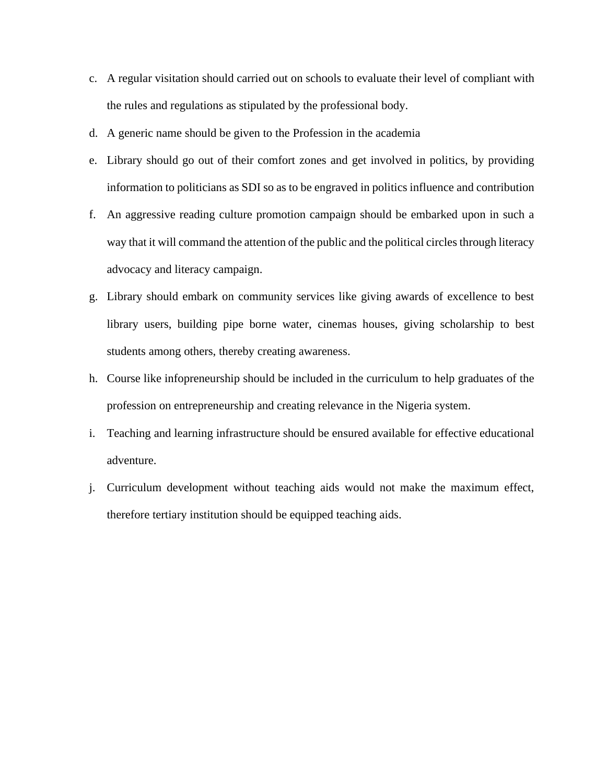- c. A regular visitation should carried out on schools to evaluate their level of compliant with the rules and regulations as stipulated by the professional body.
- d. A generic name should be given to the Profession in the academia
- e. Library should go out of their comfort zones and get involved in politics, by providing information to politicians as SDI so as to be engraved in politics influence and contribution
- f. An aggressive reading culture promotion campaign should be embarked upon in such a way that it will command the attention of the public and the political circles through literacy advocacy and literacy campaign.
- g. Library should embark on community services like giving awards of excellence to best library users, building pipe borne water, cinemas houses, giving scholarship to best students among others, thereby creating awareness.
- h. Course like infopreneurship should be included in the curriculum to help graduates of the profession on entrepreneurship and creating relevance in the Nigeria system.
- i. Teaching and learning infrastructure should be ensured available for effective educational adventure.
- j. Curriculum development without teaching aids would not make the maximum effect, therefore tertiary institution should be equipped teaching aids.